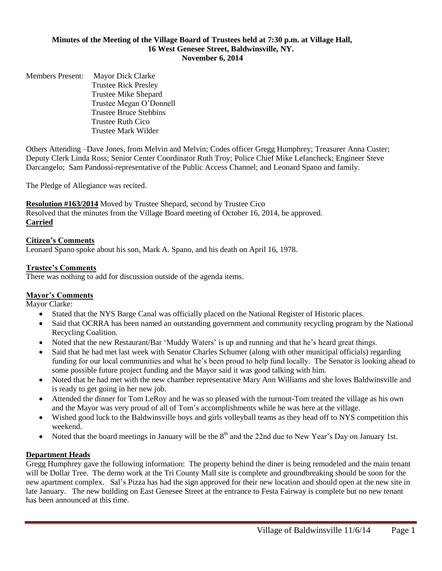#### **Minutes of the Meeting of the Village Board of Trustees held at 7:30 p.m. at Village Hall, 16 West Genesee Street, Baldwinsville, NY. November 6, 2014**

Members Present: Mayor Dick Clarke Trustee Rick Presley Trustee Mike Shepard Trustee Megan O'Donnell Trustee Bruce Stebbins Trustee Ruth Cico Trustee Mark Wilder

Others Attending –Dave Jones, from Melvin and Melvin; Codes officer Gregg Humphrey; Treasurer Anna Custer; Deputy Clerk Linda Ross; Senior Center Coordinator Ruth Troy; Police Chief Mike Lefancheck; Engineer Steve Darcangelo; Sam Pandossi-representative of the Public Access Channel; and Leonard Spano and family.

The Pledge of Allegiance was recited.

**Resolution #163/2014** Moved by Trustee Shepard, second by Trustee Cico Resolved that the minutes from the Village Board meeting of October 16, 2014, be approved. **Carried**

### **Citizen's Comments**

Leonard Spano spoke about his son, Mark A. Spano, and his death on April 16, 1978.

### **Trustee's Comments**

There was nothing to add for discussion outside of the agenda items.

#### **Mayor's Comments**

Mayor Clarke:

- Stated that the NYS Barge Canal was officially placed on the National Register of Historic places.
- Said that OCRRA has been named an outstanding government and community recycling program by the National Recycling Coalition.
- Noted that the new Restaurant/Bar 'Muddy Waters' is up and running and that he's heard great things.
- Said that he had met last week with Senator Charles Schumer (along with other municipal officials) regarding funding for our local communities and what he's been proud to help fund locally. The Senator is looking ahead to some possible future project funding and the Mayor said it was good talking with him.
- Noted that he had met with the new chamber representative Mary Ann Williams and she loves Baldwinsville and is ready to get going in her new job.
- Attended the dinner for Tom LeRoy and he was so pleased with the turnout-Tom treated the village as his own and the Mayor was very proud of all of Tom's accomplishments while he was here at the village.
- Wished good luck to the Baldwinsville boys and girls volleyball teams as they head off to NYS competition this weekend.
- Noted that the board meetings in January will be the  $8<sup>th</sup>$  and the 22nd due to New Year's Day on January 1st.

#### **Department Heads**

Gregg Humphrey gave the following information: The property behind the diner is being remodeled and the main tenant will be Dollar Tree. The demo work at the Tri County Mall site is complete and groundbreaking should be soon for the new apartment complex. Sal's Pizza has had the sign approved for their new location and should open at the new site in late January. The new building on East Genesee Street at the entrance to Festa Fairway is complete but no new tenant has been announced at this time.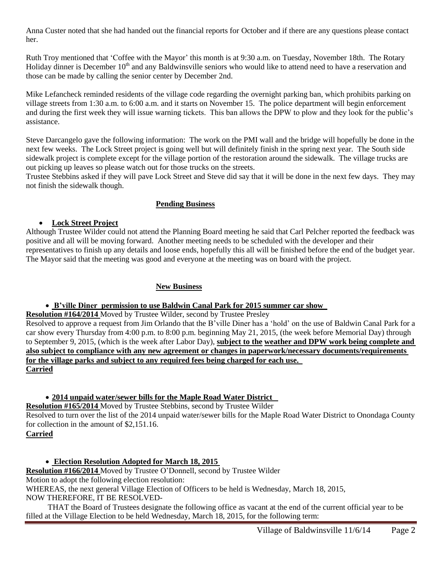Anna Custer noted that she had handed out the financial reports for October and if there are any questions please contact her.

Ruth Troy mentioned that 'Coffee with the Mayor' this month is at 9:30 a.m. on Tuesday, November 18th. The Rotary Holiday dinner is December 10<sup>th</sup> and any Baldwinsville seniors who would like to attend need to have a reservation and those can be made by calling the senior center by December 2nd.

Mike Lefancheck reminded residents of the village code regarding the overnight parking ban, which prohibits parking on village streets from 1:30 a.m. to 6:00 a.m. and it starts on November 15. The police department will begin enforcement and during the first week they will issue warning tickets. This ban allows the DPW to plow and they look for the public's assistance.

Steve Darcangelo gave the following information: The work on the PMI wall and the bridge will hopefully be done in the next few weeks. The Lock Street project is going well but will definitely finish in the spring next year. The South side sidewalk project is complete except for the village portion of the restoration around the sidewalk. The village trucks are out picking up leaves so please watch out for those trucks on the streets.

Trustee Stebbins asked if they will pave Lock Street and Steve did say that it will be done in the next few days. They may not finish the sidewalk though.

### **Pending Business**

#### **Lock Street Project**

Although Trustee Wilder could not attend the Planning Board meeting he said that Carl Pelcher reported the feedback was positive and all will be moving forward. Another meeting needs to be scheduled with the developer and their representatives to finish up any details and loose ends, hopefully this all will be finished before the end of the budget year. The Mayor said that the meeting was good and everyone at the meeting was on board with the project.

# **New Business**

# **B'ville Diner permission to use Baldwin Canal Park for 2015 summer car show**

**Resolution #164/2014** Moved by Trustee Wilder, second by Trustee Presley

Resolved to approve a request from Jim Orlando that the B'ville Diner has a 'hold' on the use of Baldwin Canal Park for a car show every Thursday from 4:00 p.m. to 8:00 p.m. beginning May 21, 2015, (the week before Memorial Day) through to September 9, 2015, (which is the week after Labor Day), **subject to the weather and DPW work being complete and also subject to compliance with any new agreement or changes in paperwork/necessary documents/requirements for the village parks and subject to any required fees being charged for each use. Carried**

# **2014 unpaid water/sewer bills for the Maple Road Water District**

**Resolution #165/2014** Moved by Trustee Stebbins, second by Trustee Wilder Resolved to turn over the list of the 2014 unpaid water/sewer bills for the Maple Road Water District to Onondaga County for collection in the amount of \$2,151.16. **Carried**

 **Election Resolution Adopted for March 18, 2015 Resolution #166/2014** Moved by Trustee O'Donnell, second by Trustee Wilder Motion to adopt the following election resolution: WHEREAS, the next general Village Election of Officers to be held is Wednesday, March 18, 2015, NOW THEREFORE, IT BE RESOLVED-

 THAT the Board of Trustees designate the following office as vacant at the end of the current official year to be filled at the Village Election to be held Wednesday, March 18, 2015, for the following term: